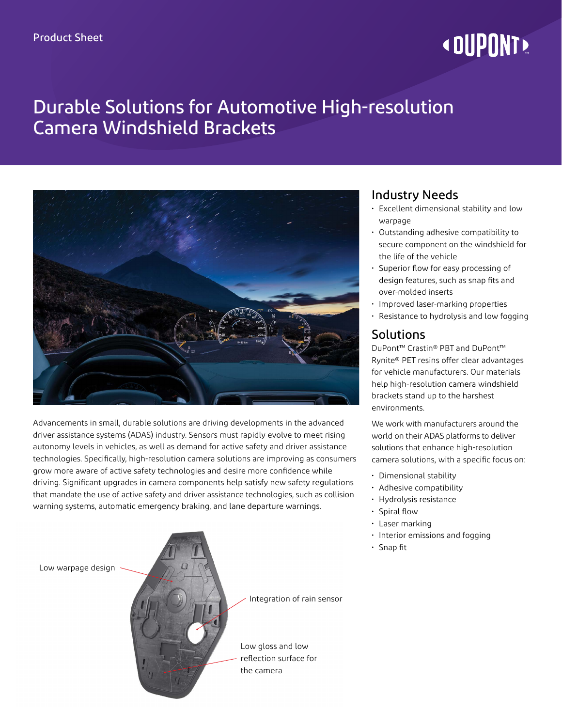# **« DUPONT!**

# Durable Solutions for Automotive High-resolution Camera Windshield Brackets



Advancements in small, durable solutions are driving developments in the advanced driver assistance systems (ADAS) industry. Sensors must rapidly evolve to meet rising autonomy levels in vehicles, as well as demand for active safety and driver assistance technologies. Specifically, high-resolution camera solutions are improving as consumers grow more aware of active safety technologies and desire more confidence while driving. Significant upgrades in camera components help satisfy new safety regulations that mandate the use of active safety and driver assistance technologies, such as collision warning systems, automatic emergency braking, and lane departure warnings.

Low warpage design Integration of rain sensor Low gloss and low reflection surface for the camera

### Industry Needs

- Excellent dimensional stability and low warpage
- Outstanding adhesive compatibility to secure component on the windshield for the life of the vehicle
- Superior flow for easy processing of design features, such as snap fits and over-molded inserts
- Improved laser-marking properties
- Resistance to hydrolysis and low fogging

#### Solutions

DuPont™ Crastin® PBT and DuPont™ Rynite® PET resins offer clear advantages for vehicle manufacturers. Our materials help high-resolution camera windshield brackets stand up to the harshest environments.

We work with manufacturers around the world on their ADAS platforms to deliver solutions that enhance high-resolution camera solutions, with a specific focus on:

- Dimensional stability
- Adhesive compatibility
- Hydrolysis resistance
- Spiral flow
- Laser marking
- Interior emissions and fogging
- Snap fit